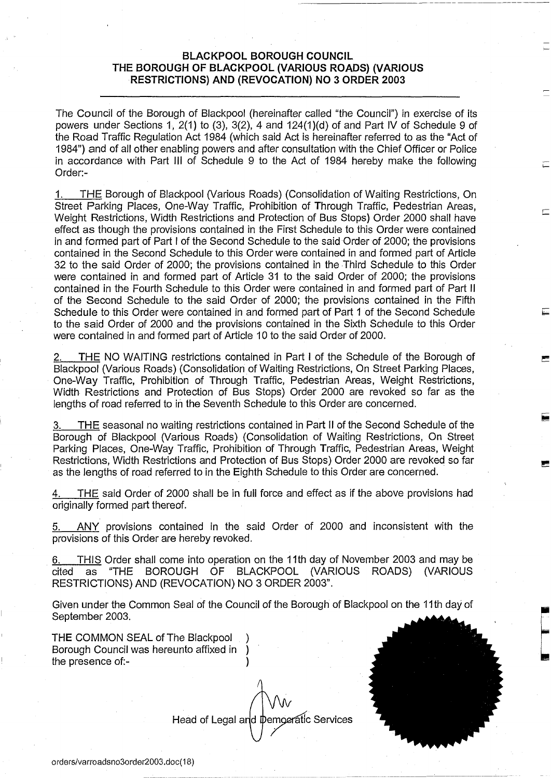## **BLACKPOOL BOROUGH COUNCIL THE BOROUGH OF BLACKPOOL (VARIOUS ROADS) (VARIOUS RESTRICTIONS) AND (REVOCATION) NO 3 ORDER 2003**

The Council of the Borough of Blackpool (hereinafter called "the Council") in exercise of its powers under Sections 1, 2(1) to (3), 3(2), 4 and 124(1)(d) of and Part IV of Schedule 9 of the Road Traffic Regulation Act 1984 (which said Act is hereinafter referred to as the "Act of 1984") and of all other enabling powers and after consultation with the Chief Officer or Police in accordance with Part III of Schedule 9 to the Act of 1984 hereby make the following Order:-

1. THE Borough of Blackpool (Various Roads) (Consolidation of Waiting Restrictions, On Street Parking Places, One-Way Traffic, Prohibition of Through Traffic, Pedestrian Areas, Weight Restrictions, Width Restrictions and Protection of Bus Stops) Order 2000 shall have effect as though the provisions contained in the First Schedule to this Order were contained in and formed part of Part I of the Second Schedule to the said Order of 2000; the provisions contained in the Second Schedule to this Order were contained in and formed part of Article 32 to the said Order of 2000; the provisions contained in the Third Schedule to this Order were contained in and formed part of Article 31 to the said Order of 2000; the provisions contained in the Fourth Schedule to this Order were contained in and formed part of Part II of the Second Schedule to the said Order of 2000; the provisions contained in the Fifth Schedule to this Order were contained in and formed part of Part 1 of the Second Schedule to the said Order of 2000 and the provisions contained in the Sixth Schedule to this Order were contained in and formed part of Article 10 to the said Order of 2000.

THE NO WAITING restrictions contained in Part I of the Schedule of the Borough of Blackpool (Various Roads) (Consolidation of Waiting Restrictions, On Street Parking Places, One-Way Traffic, Prohibition of Through Traffic, Pedestrian Areas, Weight Restrictions, Width Restrictions and Protection of Bus Stops) Order 2000 are revoked so far as the lengths of road referred to in the Seventh Schedule to this Order are concerned.

3. THE seasonal no waiting restrictions contained in Part II of the Second Schedule of the Borough of Blackpool (Various Roads) (Consolidation of Waiting Restrictions, On Street Parking Places, One-Way Traffic, Prohibition of Through Traffic, Pedestrian Areas, Weight Restrictions, Width Restrictions and Protection of Bus Stops) Order 2000 are revoked so far as the lengths of road referred to in the Eighth Schedule to this Order are concerned.

4. THE said Order of 2000 shall be in full force and effect as if the above provisions had originally formed part thereof.

5. ANY provisions contained in the said Order of 2000 and inconsistent with the provisions of this Order are hereby revoked.

6. THIS Order shall come into operation on the 11th day of November 2003 and may be cited as "THE BOROUGH OF BLACKPOOL (VARIOUS ROADS) (VARIOUS RESTRICTIONS) AND (REVOCATION) NO 3 ORDER 2003".

Given under the Common Seal of the Council of the Borough of Blackpool on the 11th day of September 2003.

THE COMMON SEAL of The Blackpool ) Borough Council was hereunto affixed in ) the presence of:-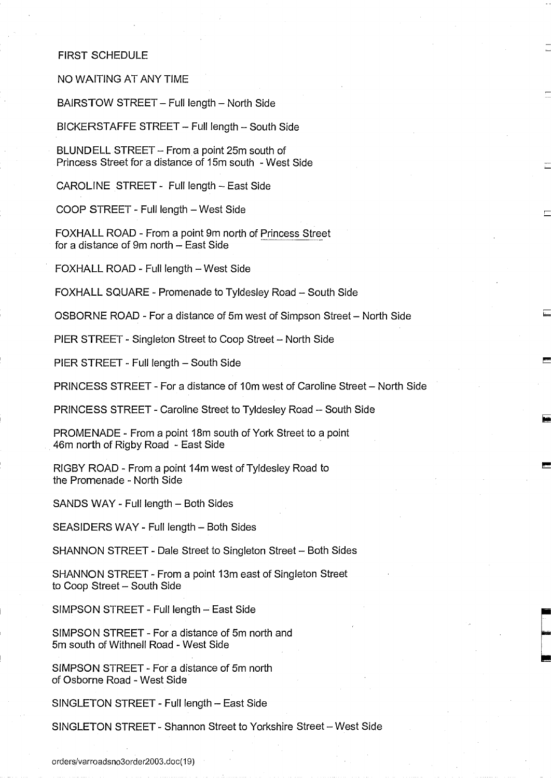## FIRST SCHEDULE

NO WAITING AT ANY TIME

BAIRSTOW STREET - Full length - North Side

BICKERSTAFFE STREET - Full length - South Side

BLUNDELL STREET - From a point 25m south of Princess Street for a distance of 15m south - West Side

CAROLINE STREET - Full length - East Side

COOP STREET - Full length - West Side

FOXHALL ROAD - From a point 9m north of Princess Street for a distance of 9m north - East Side

FOXHALL ROAD - Full length - West Side

FOXHALL SQUARE - Promenade to Tyldesley Road - South Side

OSBORNE ROAD - For a distance of 5m west of Simpson Street - North Side

PIER STREET - Singleton Street to Coop Street - North Side

PIER STREET - Full length - South Side

PRINCESS STREET - For a distance of 10m west of Caroline Street - North Side

PRINCESS STREET - Caroline Street to Tyldesley Road - South Side

PROMENADE - From a point 18m south of York Street to a point 46m north of Rigby Road - East Side

RIGBY ROAD - From a point 14m west of Tyldesley Road to the Promenade - North Side

SANDS WAY - Full length - Both Sides

SEASIDERS WAY - Full length - Both Sides

SHANNON STREET - Dale Street to Singleton Street - Both Sides

SHANNON STREET - From a point 13m east of Singleton Street to Coop Street - South Side

SIMPSON STREET - Full length - East Side

SIMPSON STREET - For a distance of 5m north and 5m south of Withnell Road - West Side

SIMPSON STREET - For a distance of 5m north of Osborne Road - West Side

SINGLETON STREET - Full length - East Side

SINGLETON STREET - Shannon Street to Yorkshire Street - West Side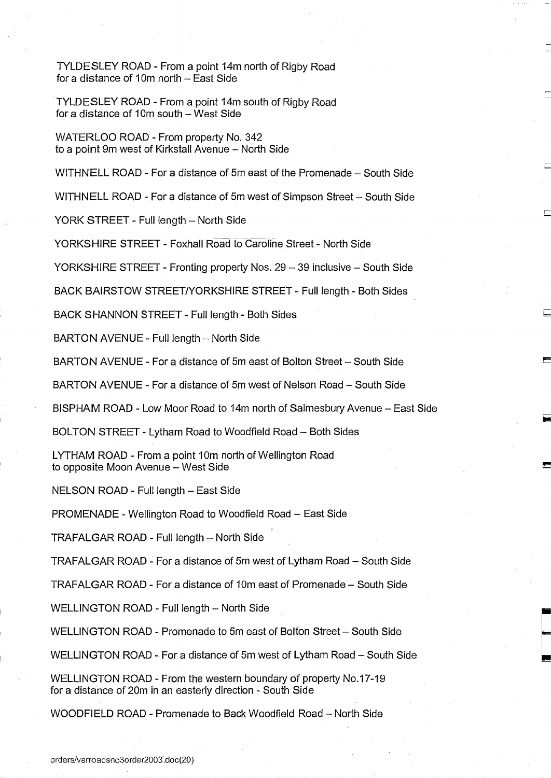TYLDESLEY ROAD - From a point 14m north of Rigby Road for a distance of 10m north - East Side

TYLDESLEY ROAD - From a point 14m south of Rigby Road for a distance of 10 $m$  south - West Side

WATERLOO ROAD - From property No. 342 to a point 9m west of Kirkstall Avenue - North Side

WITHNELL ROAD - For a distance of 5m east of the Promenade - South Side

WITHNELL ROAD - For a distance of 5m west of Simpson Street - South Side

YORK STREET - Full length - North Side

YORKSHIRE STREET - Foxhall Road to Caroline Street - North Side

YORKSHIRE STREET - Fronting property Nos. 29 - 39 inclusive - South Side

BACK BAIRSTOW STREET/YORKSHIRE STREET - Full length - Both Sides

BACK SHANNON STREET - Full length - Both Sides

BARTON AVENUE - Full length - North Side

BARTON AVENUE - For a distance of 5m east of Bolton Street - South Side

BARTON AVENUE - For a distance of 5m west of Nelson Road - South Side

BISPHAM ROAD - Low Moor Road to 14m north of Salmesbury Avenue - East Side

BOLTON STREET - Lytham Road to Woodfield Road - Both Sides

LYTHAM ROAD - From a point 10m north of Wellington Road to opposite Moon Avenue - West Side

NELSON ROAD - Full length - East Side

PROMENADE - Wellington Road to Woodfield Road - East Side

TRAFALGAR ROAD - Full length - North Side

TRAFALGAR ROAD - For a distance of 5m west of Lytham Road - South Side

TRAFALGAR ROAD - For a distance of 10m east of Promenade - South Side

WELLINGTON ROAD - Full length - North Side

WELLINGTON ROAD - Promenade to 5m east of Bolton Street - South Side

WELLINGTON ROAD - For a distance of 5m west of Lytham Road - South Side

WELLINGTON ROAD - From the western boundary of property No. 17-19 for a distance of 20m in an easterly direction - South Side

WOODFIELD ROAD - Promenade to Back Woodfield Road - North Side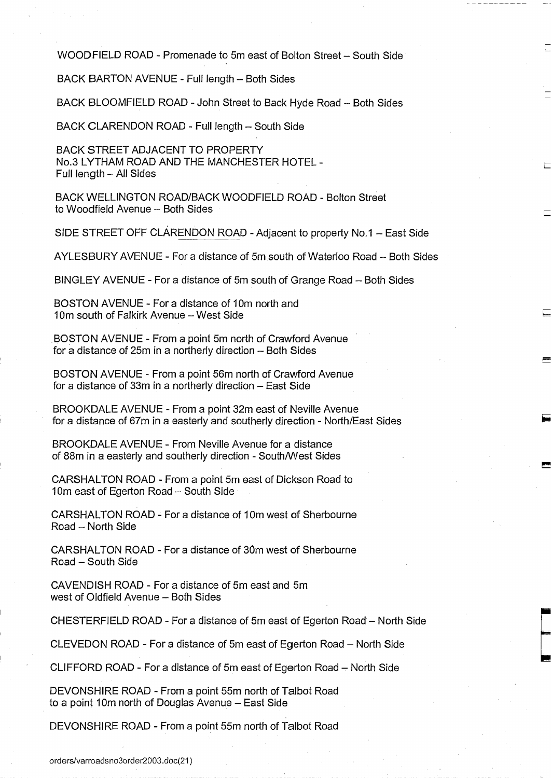WOOD FIELD ROAD - Promenade to 5m east of Bolton Street - South Side

BACK BARTON AVENUE - Full length - Both Sides

BACK BLOOMFIELD ROAD - John Street to Back Hyde Road - Both Sides

BACK CLARENDON ROAD - Full length - South Side

BACK STREET ADJACENT TO PROPERTY No.3 LYTHAM ROAD AND THE MANCHESTER HOTEL - Full length - All Sides

BACK WELLINGTON ROAD/BACK WOODFIELD ROAD - Bolton Street to Woodfield Avenue - Both Sides

SIDE STREET OFF CLARENDON ROAD - Adjacent to property No.1 - East Side

AYLESBURY AVENUE - For a distance of 5m south of Waterloo Road - Both Sides

BINGLEY AVENUE - For a distance of 5m south of Grange Road - Both Sides

BOSTON AVENUE - For a distance of 10m north and 10m south of Falkirk Avenue - West Side

BOSTON AVENUE - From a point 5m north of Crawford Avenue for a distance of 25m in a northerly direction - Both Sides

BOSTON AVENUE - From a point 56m north of Crawford Avenue for a distance of 33 $m$  in a northerly direction  $-$  East Side

BROOKDALE AVENUE - From a point 32m east of Neville Avenue for a distance of 67m in a easterly and southerly direction - North/East Sides

BROOKDALE AVENUE - From Neville Avenue for a distance of 88m in a easterly and southerly direction - South/West Sides

CARSHALTON ROAD - From a point 5m east of Dickson Road to 10m east of Egerton Road - South Side

CARSHALTON ROAD - For a distance of 10m west of Sherbourne Road - North Side

CARSHALTON ROAD - For a distance of 30m west of Sherbourne Road - South Side

CAVENDISH ROAD - For a distance of 5m east and 5m west of Oldfield Avenue - Both Sides

CHESTERFIELD ROAD - For a distance of 5m east of Egerton Road - North Side

CLEVEDON ROAD - For a distance of 5m east of Egerton Road - North Side

CLIFFORD ROAD - For a distance of 5m east of Egerton Road - North Side

DEVONSHIRE ROAD - From a point 55m north of Talbot Road to a point 10m north of Douglas Avenue - East Side

DEVONSHIRE ROAD - From a point 55m north of Talbot Road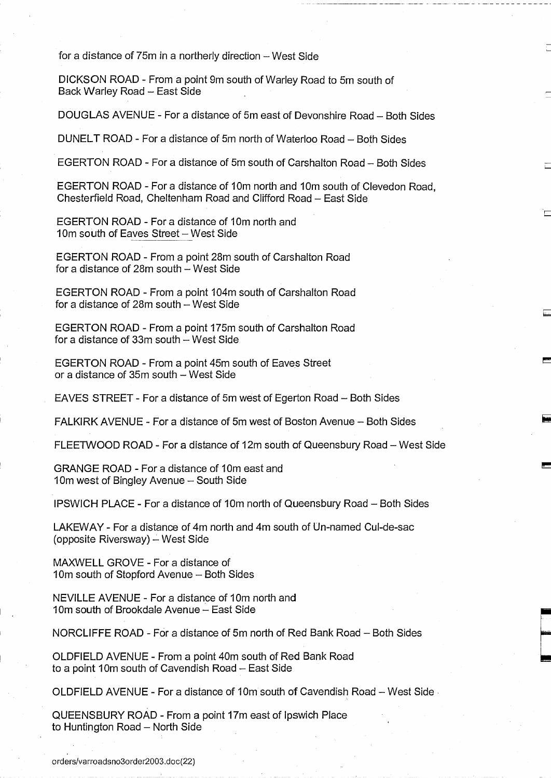for a distance of 75m in a northerly direction - West Side

DICKSON ROAD - From a point 9m south of Warley Road to 5m south of Back Warley Road - East Side

DOUGLAS AVENUE - For a distance of 5m east of Devonshire Road - Both Sides

DUNELT ROAD - For a distance of 5m north of Waterloo Road - Both Sides

EGERTON ROAD - For a distance of 5m south of Carshalton Road - Both Sides

EGERTON ROAD - For a distance of 10m north and 10m south of Clevedon Road, Chesterfield Road, Cheltenham Road and Clifford Road - East Side

EGERTON ROAD - For a distance of 10m north and 10m south of Eaves Street - West Side

EGERTON ROAD - From a point 28m south of Carshalton Road for a distance of  $28m$  south  $-$  West Side

EGERTON ROAD - From a point 104m south of Carshalton Road for a distance of  $28m$  south  $-$  West Side

EGERTON ROAD - From a point 175m south of Carshalton Road for a distance of  $33m$  south  $-$  West Side

EGERTON ROAD - From a point 45m south of Eaves Street or a distance of 35m south - West Side

EAVES STREET - For a distance of 5m west of Egerton Road - Both Sides

FALKIRK AVENUE - For a distance of 5m west of Boston Avenue - Both Sides

FLEETWOOD ROAD - For a distance of 12m south of Queensbury Road - West Side

GRANGE ROAD - For a distance of 10m east and 10m west of Bingley Avenue - South Side

IPSWICH PLACE - For a distance of 10m north of Queensbury Road - Both Sides

LAKEWAY - For a distance of 4m north and 4m south of Un-named Cul-de-sac (opposite Riversway) - West Side

MAXWELL GROVE - For a distance of 10m south of Stopford Avenue - Both Sides

NEVILLE AVENUE - For a distance of 10m north and 10m south of Brookdale Avenue - East Side

NORCLIFFE ROAD - For a distance of 5m north of Red Bank Road - Both Sides

OLDFIELD AVENUE - From a point 40m south of Red Bank Road to a point 10m south of Cavendish Road - East Side

OLDFIELD AVENUE - For a distance of 10m south of Cavendish Road - West Side -

QUEENSBURY ROAD - From a point 17m east of Ipswich Place to Huntington Road - North Side

orders/varroadsno3order2003.doc(22)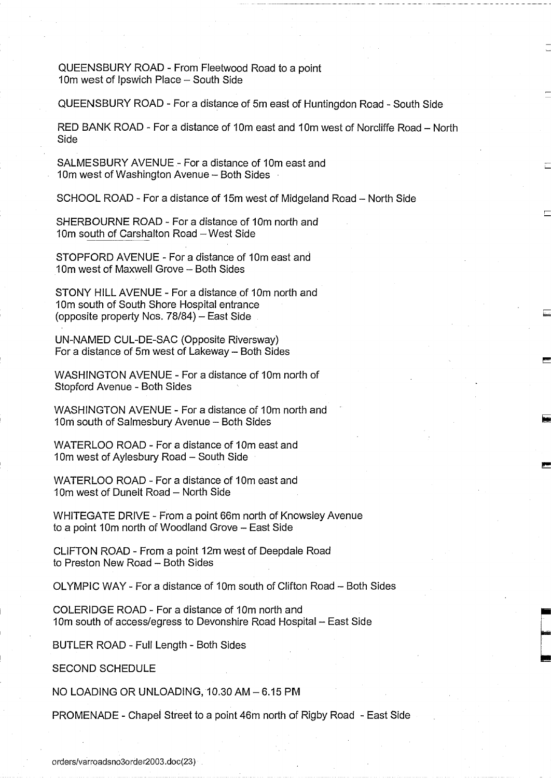QUEENSBURY ROAD - From Fleetwood Road to a point 10m west of Ipswich Place - South Side

QUEENSBURY ROAD - For a distance of 5m east of Huntingdon Road - South Side

RED BANK ROAD - For a distance of 10m east and 10m west of Norcliffe Road - North Side

SALMESBURY AVENUE - For a distance of 10m east and 10m west of Washington Avenue - Both Sides

SCHOOL ROAD - For a distance of 15m west of Midgeland Road - North Side

SHERBOURNE ROAD - For a distance of 10m north and 10m south of Carshalton Road - West Side

STOPFORD AVENUE - For a distance of 10m east and 10m west of Maxwell Grove - Both Sides

STONY HILL AVENUE - For a distance of 10m north and 10m south of South Shore Hospital entrance (opposite property Nos.  $78/84$ ) - East Side

UN-NAMED CUL-DE-SAC (Opposite Riversway) For a distance of 5 $m$  west of Lakeway - Both Sides

WASHINGTON AVENUE - For a distance of 10m north of Stopford Avenue - Both Sides

WASHINGTON AVENUE - For a distance of 10m north and 10m south of Salmesbury Avenue - Both Sides

WATERLOO ROAD - For a distance of 10m east and 10m west of Aylesbury Road - South Side

WATERLOO ROAD - For a distance of 10m east and 10m west of Dunelt Road - North Side

WHITEGATE DRIVE - From a point 66m north of Knowsley Avenue to a point 10m north of Woodland Grove - East Side

CLIFTON ROAD - From a point 12m west of Deepdale Road to Preston New Road - Both Sides

OLYMPIC WAY - For a distance of 10m south of Clifton Road - Both Sides

COLERIDGE ROAD - For a distance of 10m north and 10m south of access/egress to Devonshire Road Hospital - East Side

BUTLER ROAD - Full Length - Both Sides

SECOND SCHEDULE

NO LOADING OR UNLOADING, 10.30 AM-6.15 PM

PROMENADE - Chapel Street to a point 46m north of Rigby Road - East Side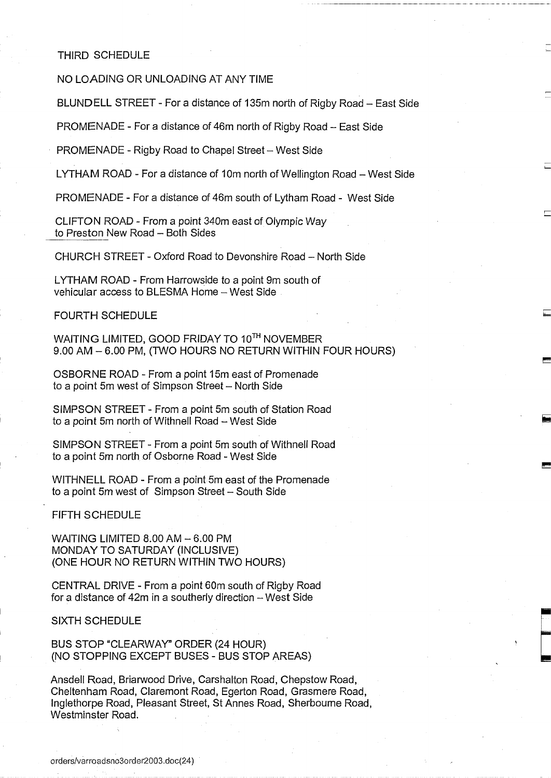## THIRD SCHEDULE

NO LOADING OR UNLOADING AT ANY TIME

BLUNDELL STREET - For a distance of 135m north of Rigby Road - East Side

PROMENADE - For a distance of 46m north of Rigby Road - East Side

PROMENADE - Rigby Road to Chapel Street - West Side

LYTHAM ROAD - For a distance of 10m north of Wellington Road - West Side

PROMENADE - For a distance of 46m south of Lytham Road - West Side

CLIFTON ROAD - From a point 340m east of Olympic Way to Preston New Road - Both Sides

CHURCH STREET - Oxford Road to Devonshire Road - North Side

LYTHAM ROAD - From Harrowside to a point 9m south of vehicular access to BLESMA Home - West Side

FOURTH SCHEDULE

WAITING LIMITED, GOOD FRIDAY TO 10™ NOVEMBER 9.00 AM - 6.00 PM, (TWO HOURS NO RETURN WITHIN FOUR HOURS)

OSBORNE ROAD - From a point 15m east of Promenade to a point 5m west of Simpson Street - North Side

SIMPSON STREET - From a point 5m south of Station Road to a point 5m north of Withnell Road - West Side

SIMPSON STREET - From a point 5m south of Withnell Road to a point 5m north of Osborne Road - West Side

WITHNELL ROAD - From a point 5m east of the Promenade to a point 5m west of Simpson Street - South Side

FIFTH SCHEDULE

WAITING LIMITED 8.00 AM - 6.00 PM MONDAY TO SATURDAY (INCLUSIVE) (ONE HOUR NO RETURN WITHIN TWO HOURS)

CENTRAL DRIVE - From a point 60m south of Rigby Road for a distance of 42m in a southerly direction - West Side

SIXTH SCHEDULE

BUS STOP "CLEARWAY" ORDER (24 HOUR) (NO STOPPING EXCEPT BUSES - BUS STOP AREAS)

Ansdell Road, Briarwood Drive, Carshalton Road, Chepstow Road, Cheltenham Road, Claremont Road, Egerton Road, Grasmere Road, Inglethorpe Road, Pleasant Street, St Annes Road, Sherbourne Road, Westminster Road.

orders/varroadsno3order2003.doc(24)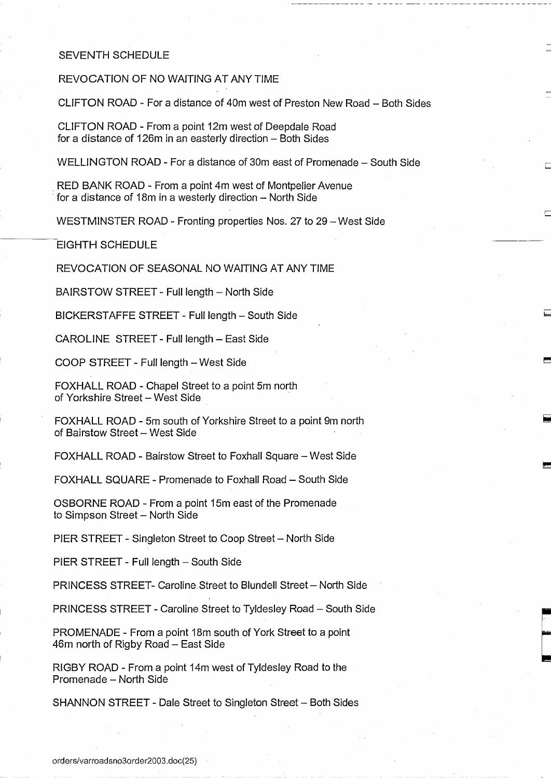## SEVENTH SCHEDULE

REVOCATION OF NO WAITING AT ANY TIME

CLIFTON ROAD - For a distance of 40m west of Preston New Road - Both Sides

CLIFTON ROAD - From a point 12m west of Deepdale Road for a distance of 126m in an easterly direction  $-$  Both Sides

WELLINGTON ROAD - For a distance of 30m east of Promenade - South Side

RED BANK ROAD - From a point 4m west of Montpelier Avenue for a distance of 18m in a westerly direction - North Side

WESTMINSTER ROAD - Fronting properties Nos. 27 to 29 - West Side

EIGHTH SCHEDULE

REVOCATION OF SEASONAL NO WAITING AT ANY TIME

BAIRSTOW STREET - Full length - North Side

BICKERSTAFFE STREET - Full length - South Side

CAROLINE STREET - Full length - East Side

COOP STREET - Full length - West Side

FOXHALL ROAD - Chapel Street to a point 5m north of Yorkshire Street - West Side

FOXHALL ROAD - 5m south of Yorkshire Street to a point 9m north of Bairstow Street - West Side

FOXHALL ROAD - Bairstow Street to Foxhall Square - West Side

FOXHALL SQUARE - Promenade to Foxhall Road - South Side

OSBORNE ROAD - From a point 15m east of the Promenade to Simpson Street - North Side

PIER STREET - Singleton Street to Coop Street - North Side

PIER STREET - Full length - South Side

PRINCESS STREET- Caroline Street to Blundell Street - North Side

PRINCESS STREET - Caroline Street to Tyldesley Road - South Side

PROMENADE - From a point 18m south of York Street to a point 46m north of Rigby Road - East Side

RIGBY ROAD - From a point 14m west of Tyldesley Road to the Promenade - North Side

SHANNON STREET - Dale Street to Singleton Street - Both Sides